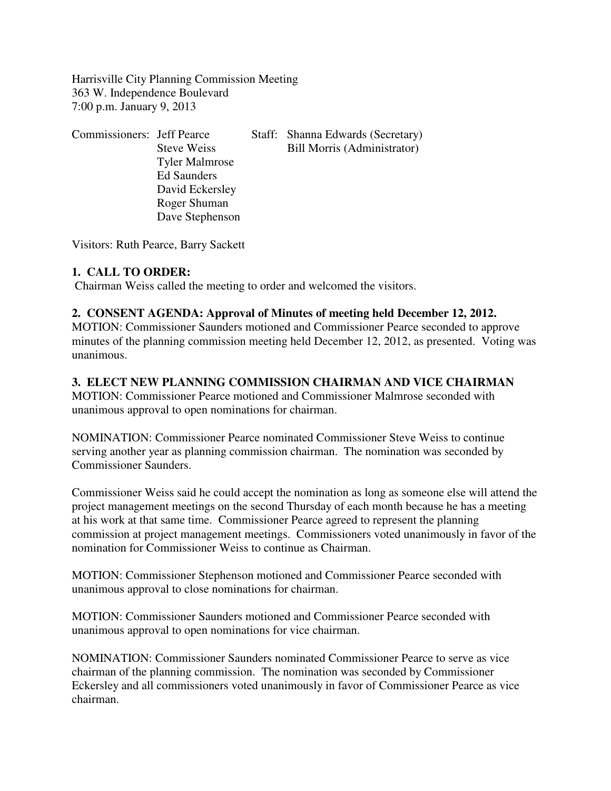Harrisville City Planning Commission Meeting 363 W. Independence Boulevard 7:00 p.m. January 9, 2013

| <b>Commissioners: Jeff Pearce</b> |                       | Staff: Shanna Edwards (Secretary) |
|-----------------------------------|-----------------------|-----------------------------------|
|                                   | <b>Steve Weiss</b>    | Bill Morris (Administrator)       |
|                                   | <b>Tyler Malmrose</b> |                                   |
|                                   | <b>Ed Saunders</b>    |                                   |
|                                   | David Eckersley       |                                   |
|                                   | Roger Shuman          |                                   |
|                                   | Dave Stephenson       |                                   |

Visitors: Ruth Pearce, Barry Sackett

#### **1. CALL TO ORDER:**

Chairman Weiss called the meeting to order and welcomed the visitors.

## **2. CONSENT AGENDA: Approval of Minutes of meeting held December 12, 2012.**

MOTION: Commissioner Saunders motioned and Commissioner Pearce seconded to approve minutes of the planning commission meeting held December 12, 2012, as presented. Voting was unanimous.

## **3. ELECT NEW PLANNING COMMISSION CHAIRMAN AND VICE CHAIRMAN**

MOTION: Commissioner Pearce motioned and Commissioner Malmrose seconded with unanimous approval to open nominations for chairman.

NOMINATION: Commissioner Pearce nominated Commissioner Steve Weiss to continue serving another year as planning commission chairman. The nomination was seconded by Commissioner Saunders.

Commissioner Weiss said he could accept the nomination as long as someone else will attend the project management meetings on the second Thursday of each month because he has a meeting at his work at that same time. Commissioner Pearce agreed to represent the planning commission at project management meetings. Commissioners voted unanimously in favor of the nomination for Commissioner Weiss to continue as Chairman.

MOTION: Commissioner Stephenson motioned and Commissioner Pearce seconded with unanimous approval to close nominations for chairman.

MOTION: Commissioner Saunders motioned and Commissioner Pearce seconded with unanimous approval to open nominations for vice chairman.

NOMINATION: Commissioner Saunders nominated Commissioner Pearce to serve as vice chairman of the planning commission. The nomination was seconded by Commissioner Eckersley and all commissioners voted unanimously in favor of Commissioner Pearce as vice chairman.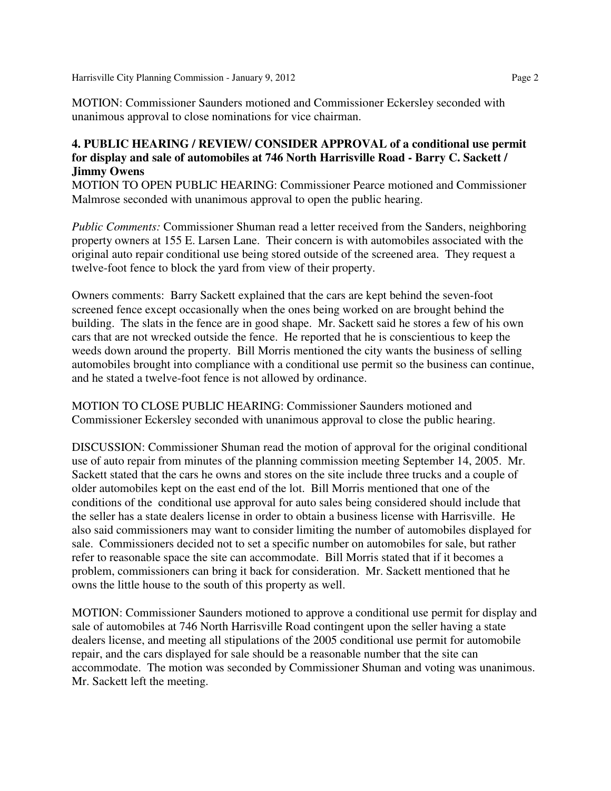MOTION: Commissioner Saunders motioned and Commissioner Eckersley seconded with unanimous approval to close nominations for vice chairman.

#### **4. PUBLIC HEARING / REVIEW/ CONSIDER APPROVAL of a conditional use permit for display and sale of automobiles at 746 North Harrisville Road - Barry C. Sackett / Jimmy Owens**

MOTION TO OPEN PUBLIC HEARING: Commissioner Pearce motioned and Commissioner Malmrose seconded with unanimous approval to open the public hearing.

*Public Comments:* Commissioner Shuman read a letter received from the Sanders, neighboring property owners at 155 E. Larsen Lane. Their concern is with automobiles associated with the original auto repair conditional use being stored outside of the screened area. They request a twelve-foot fence to block the yard from view of their property.

Owners comments: Barry Sackett explained that the cars are kept behind the seven-foot screened fence except occasionally when the ones being worked on are brought behind the building. The slats in the fence are in good shape. Mr. Sackett said he stores a few of his own cars that are not wrecked outside the fence. He reported that he is conscientious to keep the weeds down around the property. Bill Morris mentioned the city wants the business of selling automobiles brought into compliance with a conditional use permit so the business can continue, and he stated a twelve-foot fence is not allowed by ordinance.

MOTION TO CLOSE PUBLIC HEARING: Commissioner Saunders motioned and Commissioner Eckersley seconded with unanimous approval to close the public hearing.

DISCUSSION: Commissioner Shuman read the motion of approval for the original conditional use of auto repair from minutes of the planning commission meeting September 14, 2005. Mr. Sackett stated that the cars he owns and stores on the site include three trucks and a couple of older automobiles kept on the east end of the lot. Bill Morris mentioned that one of the conditions of the conditional use approval for auto sales being considered should include that the seller has a state dealers license in order to obtain a business license with Harrisville. He also said commissioners may want to consider limiting the number of automobiles displayed for sale. Commissioners decided not to set a specific number on automobiles for sale, but rather refer to reasonable space the site can accommodate. Bill Morris stated that if it becomes a problem, commissioners can bring it back for consideration. Mr. Sackett mentioned that he owns the little house to the south of this property as well.

MOTION: Commissioner Saunders motioned to approve a conditional use permit for display and sale of automobiles at 746 North Harrisville Road contingent upon the seller having a state dealers license, and meeting all stipulations of the 2005 conditional use permit for automobile repair, and the cars displayed for sale should be a reasonable number that the site can accommodate. The motion was seconded by Commissioner Shuman and voting was unanimous. Mr. Sackett left the meeting.